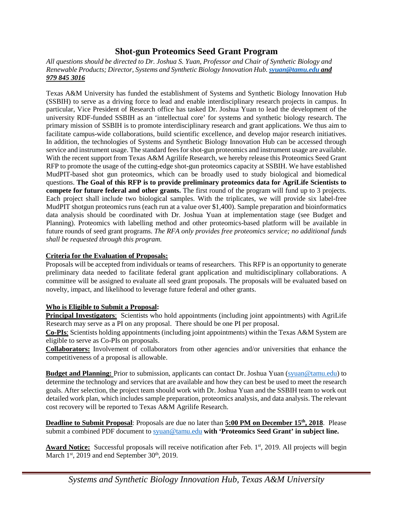# **Shot-gun Proteomics Seed Grant Program**

*All questions should be directed to Dr. Joshua S. Yuan, Professor and Chair of Synthetic Biology and Renewable Products; Director, Systems and Synthetic Biology Innovation Hub. [syuan@tamu.edu](mailto:syuan@tamu.edu) and 979 845 3016*

Texas A&M University has funded the establishment of Systems and Synthetic Biology Innovation Hub (SSBIH) to serve as a driving force to lead and enable interdisciplinary research projects in campus. In particular, Vice President of Research office has tasked Dr. Joshua Yuan to lead the development of the university RDF-funded SSBIH as an 'intellectual core' for systems and synthetic biology research. The primary mission of SSBIH is to promote interdisciplinary research and grant applications. We thus aim to facilitate campus-wide collaborations, build scientific excellence, and develop major research initiatives. In addition, the technologies of Systems and Synthetic Biology Innovation Hub can be accessed through service and instrument usage. The standard fees for shot-gun proteomics and instrument usage are available. With the recent support from Texas A&M Agrilife Research, we hereby release this Proteomics Seed Grant RFP to promote the usage of the cutting-edge shot-gun proteomics capacity at SSBIH. We have established MudPIT-based shot gun proteomics, which can be broadly used to study biological and biomedical questions. **The Goal of this RFP is to provide preliminary proteomics data for AgriLife Scientists to compete for future federal and other grants.** The first round of the program will fund up to 3 projects. Each project shall include two biological samples. With the triplicates, we will provide six label-free MudPIT shotgun proteomics runs (each run at a value over \$1,400). Sample preparation and bioinformatics data analysis should be coordinated with Dr. Joshua Yuan at implementation stage (see Budget and Planning). Proteomics with labelling method and other proteomics-based platform will be available in future rounds of seed grant programs. *The RFA only provides free proteomics service; no additional funds shall be requested through this program.*

### **Criteria for the Evaluation of Proposals:**

Proposals will be accepted from individuals or teams of researchers. This RFP is an opportunity to generate preliminary data needed to facilitate federal grant application and multidisciplinary collaborations. A committee will be assigned to evaluate all seed grant proposals. The proposals will be evaluated based on novelty, impact, and likelihood to leverage future federal and other grants.

### **Who is Eligible to Submit a Proposal:**

**Principal Investigators**: Scientists who hold appointments (including joint appointments) with AgriLife Research may serve as a PI on any proposal. There should be one PI per proposal.

**Co-PIs**: Scientists holding appointments (including joint appointments) within the Texas A&M System are eligible to serve as Co-PIs on proposals.

**Collaborators:** Involvement of collaborators from other agencies and/or universities that enhance the competitiveness of a proposal is allowable.

**Budget and Planning:** Prior to submission, applicants can contact Dr. Joshua Yuan [\(syuan@tamu.edu\)](mailto:syuan@tamu.edu) to determine the technology and services that are available and how they can best be used to meet the research goals. After selection, the project team should work with Dr. Joshua Yuan and the SSBIH team to work out detailed work plan, which includes sample preparation, proteomics analysis, and data analysis. The relevant cost recovery will be reported to Texas A&M Agrilife Research.

**Deadline to Submit Proposal**: Proposals are due no later than **5:00 PM on December 15th, 2018**. Please submit a combined PDF document to [syuan@tamu.edu](mailto:syuan@tamu.edu) **with 'Proteomics Seed Grant' in subject line.** 

Award Notice: Successful proposals will receive notification after Feb. 1<sup>st</sup>, 2019. All projects will begin March  $1<sup>st</sup>$ , 2019 and end September 30<sup>th</sup>, 2019.